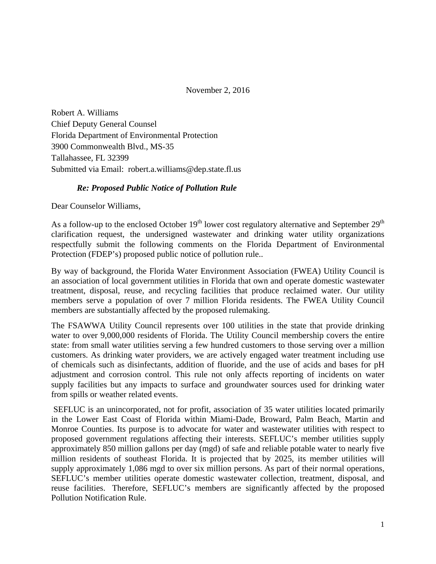November 2, 2016

Robert A. Williams Chief Deputy General Counsel Florida Department of Environmental Protection 3900 Commonwealth Blvd., MS-35 Tallahassee, FL 32399 Submitted via Email: robert.a.williams@dep.state.fl.us

#### *Re: Proposed Public Notice of Pollution Rule*

Dear Counselor Williams,

As a follow-up to the enclosed October  $19<sup>th</sup>$  lower cost regulatory alternative and September  $29<sup>th</sup>$ clarification request, the undersigned wastewater and drinking water utility organizations respectfully submit the following comments on the Florida Department of Environmental Protection (FDEP's) proposed public notice of pollution rule..

By way of background, the Florida Water Environment Association (FWEA) Utility Council is an association of local government utilities in Florida that own and operate domestic wastewater treatment, disposal, reuse, and recycling facilities that produce reclaimed water. Our utility members serve a population of over 7 million Florida residents. The FWEA Utility Council members are substantially affected by the proposed rulemaking.

The FSAWWA Utility Council represents over 100 utilities in the state that provide drinking water to over 9,000,000 residents of Florida. The Utility Council membership covers the entire state: from small water utilities serving a few hundred customers to those serving over a million customers. As drinking water providers, we are actively engaged water treatment including use of chemicals such as disinfectants, addition of fluoride, and the use of acids and bases for pH adjustment and corrosion control. This rule not only affects reporting of incidents on water supply facilities but any impacts to surface and groundwater sources used for drinking water from spills or weather related events.

 SEFLUC is an unincorporated, not for profit, association of 35 water utilities located primarily in the Lower East Coast of Florida within Miami-Dade, Broward, Palm Beach, Martin and Monroe Counties. Its purpose is to advocate for water and wastewater utilities with respect to proposed government regulations affecting their interests. SEFLUC's member utilities supply approximately 850 million gallons per day (mgd) of safe and reliable potable water to nearly five million residents of southeast Florida. It is projected that by 2025, its member utilities will supply approximately 1,086 mgd to over six million persons. As part of their normal operations, SEFLUC's member utilities operate domestic wastewater collection, treatment, disposal, and reuse facilities. Therefore, SEFLUC's members are significantly affected by the proposed Pollution Notification Rule.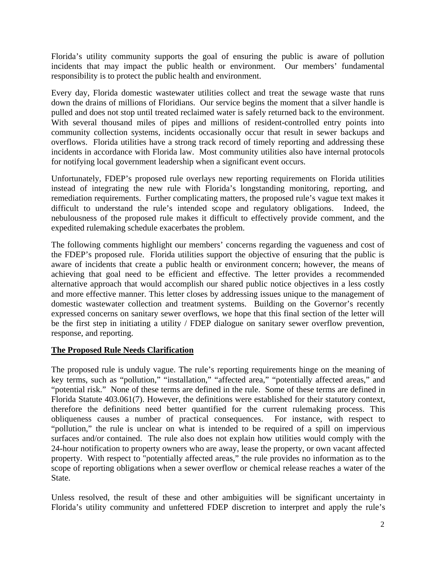Florida's utility community supports the goal of ensuring the public is aware of pollution incidents that may impact the public health or environment. Our members' fundamental responsibility is to protect the public health and environment.

Every day, Florida domestic wastewater utilities collect and treat the sewage waste that runs down the drains of millions of Floridians. Our service begins the moment that a silver handle is pulled and does not stop until treated reclaimed water is safely returned back to the environment. With several thousand miles of pipes and millions of resident-controlled entry points into community collection systems, incidents occasionally occur that result in sewer backups and overflows. Florida utilities have a strong track record of timely reporting and addressing these incidents in accordance with Florida law. Most community utilities also have internal protocols for notifying local government leadership when a significant event occurs.

Unfortunately, FDEP's proposed rule overlays new reporting requirements on Florida utilities instead of integrating the new rule with Florida's longstanding monitoring, reporting, and remediation requirements. Further complicating matters, the proposed rule's vague text makes it difficult to understand the rule's intended scope and regulatory obligations. Indeed, the nebulousness of the proposed rule makes it difficult to effectively provide comment, and the expedited rulemaking schedule exacerbates the problem.

The following comments highlight our members' concerns regarding the vagueness and cost of the FDEP's proposed rule. Florida utilities support the objective of ensuring that the public is aware of incidents that create a public health or environment concern; however, the means of achieving that goal need to be efficient and effective. The letter provides a recommended alternative approach that would accomplish our shared public notice objectives in a less costly and more effective manner. This letter closes by addressing issues unique to the management of domestic wastewater collection and treatment systems. Building on the Governor's recently expressed concerns on sanitary sewer overflows, we hope that this final section of the letter will be the first step in initiating a utility / FDEP dialogue on sanitary sewer overflow prevention, response, and reporting.

#### **The Proposed Rule Needs Clarification**

The proposed rule is unduly vague. The rule's reporting requirements hinge on the meaning of key terms, such as "pollution," "installation," "affected area," "potentially affected areas," and "potential risk." None of these terms are defined in the rule. Some of these terms are defined in Florida Statute 403.061(7). However, the definitions were established for their statutory context, therefore the definitions need better quantified for the current rulemaking process. This obliqueness causes a number of practical consequences. For instance, with respect to "pollution," the rule is unclear on what is intended to be required of a spill on impervious surfaces and/or contained. The rule also does not explain how utilities would comply with the 24-hour notification to property owners who are away, lease the property, or own vacant affected property. With respect to "potentially affected areas," the rule provides no information as to the scope of reporting obligations when a sewer overflow or chemical release reaches a water of the State.

Unless resolved, the result of these and other ambiguities will be significant uncertainty in Florida's utility community and unfettered FDEP discretion to interpret and apply the rule's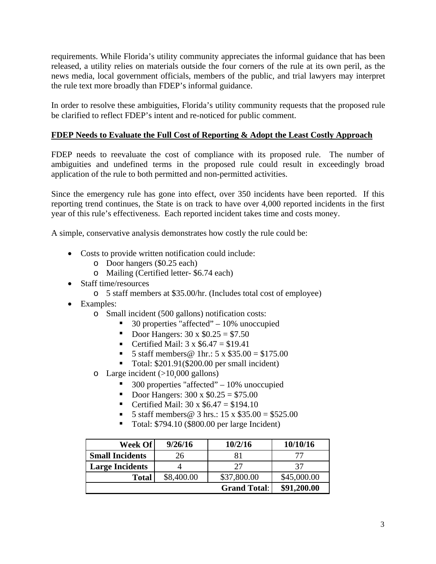requirements. While Florida's utility community appreciates the informal guidance that has been released, a utility relies on materials outside the four corners of the rule at its own peril, as the news media, local government officials, members of the public, and trial lawyers may interpret the rule text more broadly than FDEP's informal guidance.

In order to resolve these ambiguities, Florida's utility community requests that the proposed rule be clarified to reflect FDEP's intent and re-noticed for public comment.

#### **FDEP Needs to Evaluate the Full Cost of Reporting & Adopt the Least Costly Approach**

FDEP needs to reevaluate the cost of compliance with its proposed rule. The number of ambiguities and undefined terms in the proposed rule could result in exceedingly broad application of the rule to both permitted and non-permitted activities.

Since the emergency rule has gone into effect, over 350 incidents have been reported. If this reporting trend continues, the State is on track to have over 4,000 reported incidents in the first year of this rule's effectiveness. Each reported incident takes time and costs money.

A simple, conservative analysis demonstrates how costly the rule could be:

- Costs to provide written notification could include:
	- o Door hangers (\$0.25 each)
	- o Mailing (Certified letter- \$6.74 each)
- Staff time/resources
	- o 5 staff members at \$35.00/hr. (Includes total cost of employee)
- Examples:
	- o Small incident (500 gallons) notification costs:
		- 30 properties "affected" 10% unoccupied
		- Door Hangers:  $30 \times $0.25 = $7.50$
		- Certified Mail:  $3 \times $6.47 = $19.41$
		- 5 staff members @ 1hr.:  $5 \times $35.00 = $175.00$
		- Total: \$201.91(\$200.00 per small incident)
	- $\circ$  Large incident (>10,000 gallons)
		- 300 properties "affected" 10% unoccupied
		- Door Hangers:  $300 \times $0.25 = $75.00$
		- Certified Mail:  $30 \times $6.47 = $194.10$
		- 5 staff members  $\circledcirc$  3 hrs.: 15 x \$35.00 = \$525.00
		- Total: \$794.10 (\$800.00 per large Incident)

| Week Of                | 9/26/16    | 10/2/16             | 10/10/16    |
|------------------------|------------|---------------------|-------------|
| <b>Small Incidents</b> | 26         | 81                  |             |
| <b>Large Incidents</b> |            | 27                  | 37          |
| <b>Total</b>           | \$8,400.00 | \$37,800.00         | \$45,000.00 |
|                        |            | <b>Grand Total:</b> | \$91,200.00 |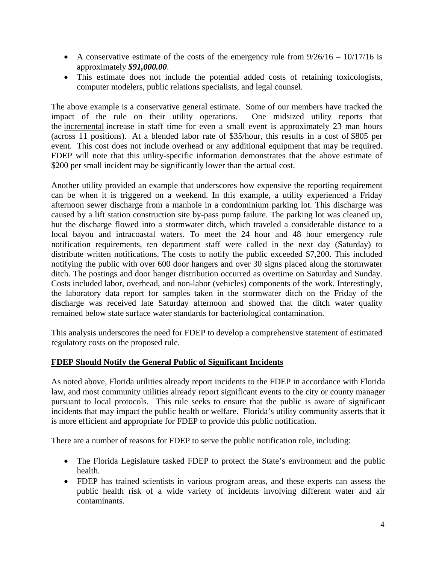- A conservative estimate of the costs of the emergency rule from  $9/26/16 10/17/16$  is approximately *\$91,000.00*.
- This estimate does not include the potential added costs of retaining toxicologists, computer modelers, public relations specialists, and legal counsel.

The above example is a conservative general estimate. Some of our members have tracked the impact of the rule on their utility operations. One midsized utility reports that impact of the rule on their utility operations. the incremental increase in staff time for even a small event is approximately 23 man hours (across 11 positions). At a blended labor rate of \$35/hour, this results in a cost of \$805 per event. This cost does not include overhead or any additional equipment that may be required. FDEP will note that this utility-specific information demonstrates that the above estimate of \$200 per small incident may be significantly lower than the actual cost.

Another utility provided an example that underscores how expensive the reporting requirement can be when it is triggered on a weekend. In this example, a utility experienced a Friday afternoon sewer discharge from a manhole in a condominium parking lot. This discharge was caused by a lift station construction site by-pass pump failure. The parking lot was cleaned up, but the discharge flowed into a stormwater ditch, which traveled a considerable distance to a local bayou and intracoastal waters. To meet the 24 hour and 48 hour emergency rule notification requirements, ten department staff were called in the next day (Saturday) to distribute written notifications. The costs to notify the public exceeded \$7,200. This included notifying the public with over 600 door hangers and over 30 signs placed along the stormwater ditch. The postings and door hanger distribution occurred as overtime on Saturday and Sunday. Costs included labor, overhead, and non-labor (vehicles) components of the work. Interestingly, the laboratory data report for samples taken in the stormwater ditch on the Friday of the discharge was received late Saturday afternoon and showed that the ditch water quality remained below state surface water standards for bacteriological contamination.

This analysis underscores the need for FDEP to develop a comprehensive statement of estimated regulatory costs on the proposed rule.

#### **FDEP Should Notify the General Public of Significant Incidents**

As noted above, Florida utilities already report incidents to the FDEP in accordance with Florida law, and most community utilities already report significant events to the city or county manager pursuant to local protocols. This rule seeks to ensure that the public is aware of significant incidents that may impact the public health or welfare. Florida's utility community asserts that it is more efficient and appropriate for FDEP to provide this public notification.

There are a number of reasons for FDEP to serve the public notification role, including:

- The Florida Legislature tasked FDEP to protect the State's environment and the public health.
- FDEP has trained scientists in various program areas, and these experts can assess the public health risk of a wide variety of incidents involving different water and air contaminants.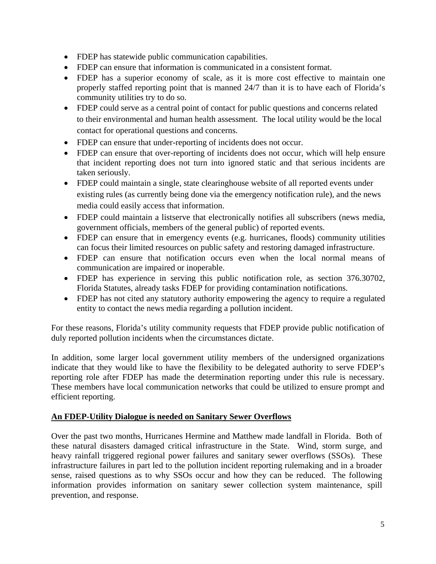- FDEP has statewide public communication capabilities.
- FDEP can ensure that information is communicated in a consistent format.
- FDEP has a superior economy of scale, as it is more cost effective to maintain one properly staffed reporting point that is manned 24/7 than it is to have each of Florida's community utilities try to do so.
- FDEP could serve as a central point of contact for public questions and concerns related to their environmental and human health assessment. The local utility would be the local contact for operational questions and concerns.
- FDEP can ensure that under-reporting of incidents does not occur.
- FDEP can ensure that over-reporting of incidents does not occur, which will help ensure that incident reporting does not turn into ignored static and that serious incidents are taken seriously.
- FDEP could maintain a single, state clearinghouse website of all reported events under existing rules (as currently being done via the emergency notification rule), and the news media could easily access that information.
- FDEP could maintain a listserve that electronically notifies all subscribers (news media, government officials, members of the general public) of reported events.
- FDEP can ensure that in emergency events (e.g. hurricanes, floods) community utilities can focus their limited resources on public safety and restoring damaged infrastructure.
- FDEP can ensure that notification occurs even when the local normal means of communication are impaired or inoperable.
- FDEP has experience in serving this public notification role, as section 376.30702, Florida Statutes, already tasks FDEP for providing contamination notifications.
- FDEP has not cited any statutory authority empowering the agency to require a regulated entity to contact the news media regarding a pollution incident.

For these reasons, Florida's utility community requests that FDEP provide public notification of duly reported pollution incidents when the circumstances dictate.

In addition, some larger local government utility members of the undersigned organizations indicate that they would like to have the flexibility to be delegated authority to serve FDEP's reporting role after FDEP has made the determination reporting under this rule is necessary. These members have local communication networks that could be utilized to ensure prompt and efficient reporting.

#### **An FDEP-Utility Dialogue is needed on Sanitary Sewer Overflows**

Over the past two months, Hurricanes Hermine and Matthew made landfall in Florida. Both of these natural disasters damaged critical infrastructure in the State. Wind, storm surge, and heavy rainfall triggered regional power failures and sanitary sewer overflows (SSOs). These infrastructure failures in part led to the pollution incident reporting rulemaking and in a broader sense, raised questions as to why SSOs occur and how they can be reduced. The following information provides information on sanitary sewer collection system maintenance, spill prevention, and response.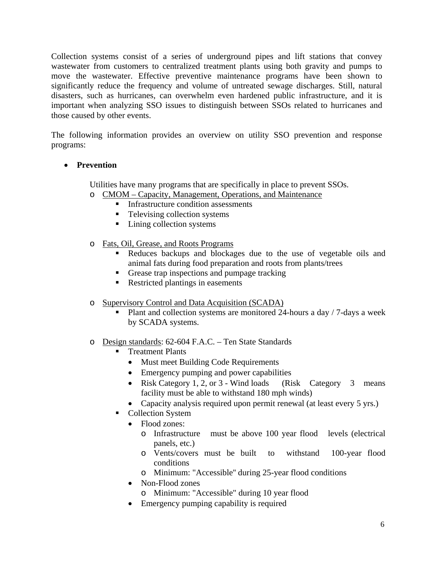Collection systems consist of a series of underground pipes and lift stations that convey wastewater from customers to centralized treatment plants using both gravity and pumps to move the wastewater. Effective preventive maintenance programs have been shown to significantly reduce the frequency and volume of untreated sewage discharges. Still, natural disasters, such as hurricanes, can overwhelm even hardened public infrastructure, and it is important when analyzing SSO issues to distinguish between SSOs related to hurricanes and those caused by other events.

The following information provides an overview on utility SSO prevention and response programs:

#### **Prevention**

Utilities have many programs that are specifically in place to prevent SSOs.

- o CMOM Capacity, Management, Operations, and Maintenance
	- **Infrastructure condition assessments**
	- Televising collection systems
	- Lining collection systems
- o Fats, Oil, Grease, and Roots Programs
	- Reduces backups and blockages due to the use of vegetable oils and animal fats during food preparation and roots from plants/trees
	- Grease trap inspections and pumpage tracking
	- Restricted plantings in easements
- o Supervisory Control and Data Acquisition (SCADA)
	- Plant and collection systems are monitored 24-hours a day / 7-days a week by SCADA systems.
- o Design standards: 62-604 F.A.C. Ten State Standards
	- Treatment Plants
		- Must meet Building Code Requirements
		- Emergency pumping and power capabilities
		- Risk Category 1, 2, or 3 Wind loads (Risk Category 3 means facility must be able to withstand 180 mph winds)
		- Capacity analysis required upon permit renewal (at least every 5 yrs.)
	- Collection System
		- Flood zones:
			- o Infrastructure must be above 100 year flood levels (electrical panels, etc.)
			- o Vents/covers must be built to withstand 100-year flood conditions
			- o Minimum: "Accessible'' during 25-year flood conditions
		- Non-Flood zones
			- o Minimum: "Accessible" during 10 year flood
		- Emergency pumping capability is required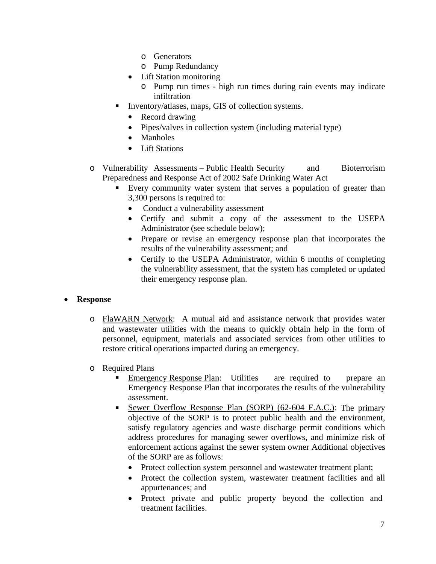- o Generators
- o Pump Redundancy
- Lift Station monitoring
	- o Pump run times high run times during rain events may indicate infiltration
- Inventory/atlases, maps, GIS of collection systems.
	- Record drawing
	- Pipes/valves in collection system (including material type)
	- Manholes
	- Lift Stations
- o Vulnerability Assessments Public Health Security and Bioterrorism Preparedness and Response Act of 2002 Safe Drinking Water Act
	- Every community water system that serves a population of greater than 3,300 persons is required to:
		- Conduct a vulnerability assessment
		- Certify and submit a copy of the assessment to the USEPA Administrator (see schedule below);
		- Prepare or revise an emergency response plan that incorporates the results of the vulnerability assessment; and
		- Certify to the USEPA Administrator, within 6 months of completing the vulnerability assessment, that the system has completed or updated their emergency response plan.

#### **Response**

- o FlaWARN Network: A mutual aid and assistance network that provides water and wastewater utilities with the means to quickly obtain help in the form of personnel, equipment, materials and associated services from other utilities to restore critical operations impacted during an emergency.
- o Required Plans
	- Emergency Response Plan: Utilities are required to prepare an Emergency Response Plan that incorporates the results of the vulnerability assessment.
	- Sewer Overflow Response Plan (SORP) (62-604 F.A.C.): The primary objective of the SORP is to protect public health and the environment, satisfy regulatory agencies and waste discharge permit conditions which address procedures for managing sewer overflows, and minimize risk of enforcement actions against the sewer system owner Additional objectives of the SORP are as follows:
		- Protect collection system personnel and wastewater treatment plant;
		- Protect the collection system, wastewater treatment facilities and all appurtenances; and
		- Protect private and public property beyond the collection and treatment facilities.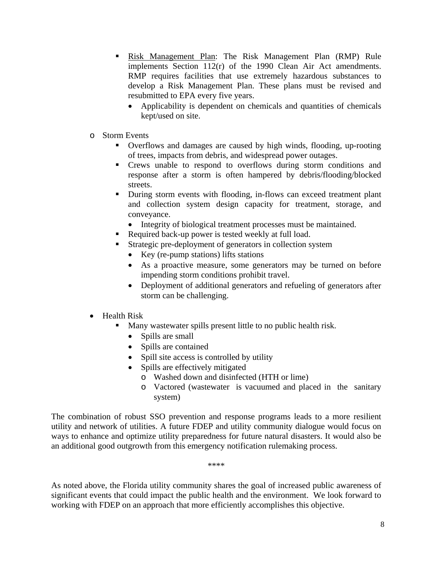- **Risk Management Plan: The Risk Management Plan (RMP) Rule** implements Section 112(r) of the 1990 Clean Air Act amendments. RMP requires facilities that use extremely hazardous substances to develop a Risk Management Plan. These plans must be revised and resubmitted to EPA every five years.
	- Applicability is dependent on chemicals and quantities of chemicals kept/used on site.
- o Storm Events
	- Overflows and damages are caused by high winds, flooding, up-rooting of trees, impacts from debris, and widespread power outages.
	- Crews unable to respond to overflows during storm conditions and response after a storm is often hampered by debris/flooding/blocked streets.
	- During storm events with flooding, in-flows can exceed treatment plant and collection system design capacity for treatment, storage, and conveyance.
		- Integrity of biological treatment processes must be maintained.
	- Required back-up power is tested weekly at full load.
	- Strategic pre-deployment of generators in collection system
		- Key (re-pump stations) lifts stations
		- As a proactive measure, some generators may be turned on before impending storm conditions prohibit travel.
		- Deployment of additional generators and refueling of generators after storm can be challenging.
- Health Risk
	- Many wastewater spills present little to no public health risk.
		- Spills are small
		- Spills are contained
		- Spill site access is controlled by utility
		- Spills are effectively mitigated
			- o Washed down and disinfected (HTH or lime)
			- o Vactored (wastewater is vacuumed and placed in the sanitary system)

The combination of robust SSO prevention and response programs leads to a more resilient utility and network of utilities. A future FDEP and utility community dialogue would focus on ways to enhance and optimize utility preparedness for future natural disasters. It would also be an additional good outgrowth from this emergency notification rulemaking process.

\*\*\*\*

As noted above, the Florida utility community shares the goal of increased public awareness of significant events that could impact the public health and the environment. We look forward to working with FDEP on an approach that more efficiently accomplishes this objective.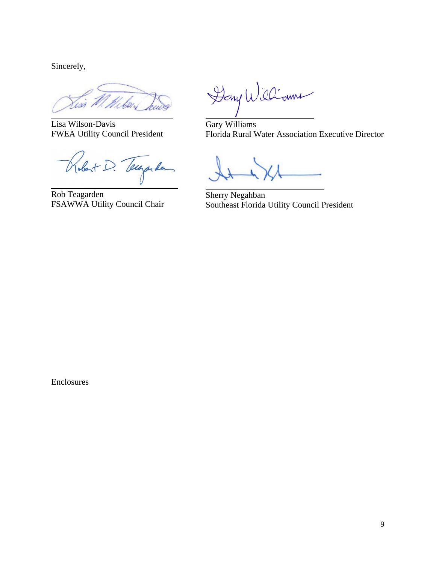Sincerely,

.<br>M

Lisa Wilson-Davis FWEA Utility Council President

Robert D. Techarden

Rob Teagarden FSAWWA Utility Council Chair

Dany Williams

Gary Williams Florida Rural Water Association Executive Director

Sherry Negahban Southeast Florida Utility Council President

Enclosures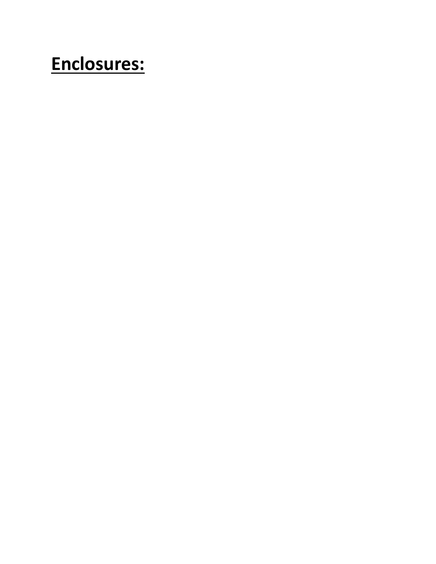# **Enclosures:**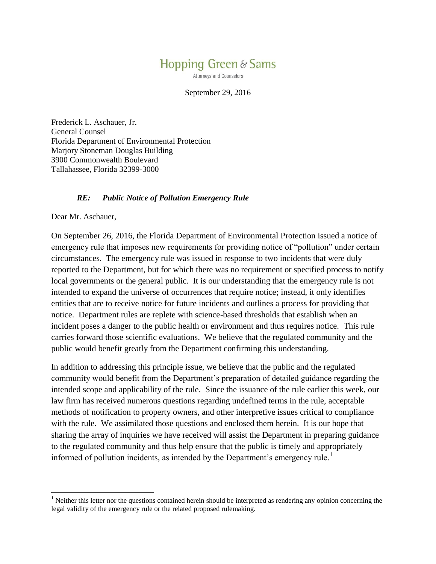## Hopping Green & Sams

**Attorneys and Counselors** 

#### September 29, 2016

Frederick L. Aschauer, Jr. General Counsel Florida Department of Environmental Protection Marjory Stoneman Douglas Building 3900 Commonwealth Boulevard Tallahassee, Florida 32399-3000

#### *RE: Public Notice of Pollution Emergency Rule*

Dear Mr. Aschauer,

 $\overline{\phantom{a}}$ 

On September 26, 2016, the Florida Department of Environmental Protection issued a notice of emergency rule that imposes new requirements for providing notice of "pollution" under certain circumstances. The emergency rule was issued in response to two incidents that were duly reported to the Department, but for which there was no requirement or specified process to notify local governments or the general public. It is our understanding that the emergency rule is not intended to expand the universe of occurrences that require notice; instead, it only identifies entities that are to receive notice for future incidents and outlines a process for providing that notice. Department rules are replete with science-based thresholds that establish when an incident poses a danger to the public health or environment and thus requires notice. This rule carries forward those scientific evaluations. We believe that the regulated community and the public would benefit greatly from the Department confirming this understanding.

In addition to addressing this principle issue, we believe that the public and the regulated community would benefit from the Department's preparation of detailed guidance regarding the intended scope and applicability of the rule. Since the issuance of the rule earlier this week, our law firm has received numerous questions regarding undefined terms in the rule, acceptable methods of notification to property owners, and other interpretive issues critical to compliance with the rule. We assimilated those questions and enclosed them herein. It is our hope that sharing the array of inquiries we have received will assist the Department in preparing guidance to the regulated community and thus help ensure that the public is timely and appropriately informed of pollution incidents, as intended by the Department's emergency rule.<sup>1</sup>

<sup>&</sup>lt;sup>1</sup> Neither this letter nor the questions contained herein should be interpreted as rendering any opinion concerning the legal validity of the emergency rule or the related proposed rulemaking.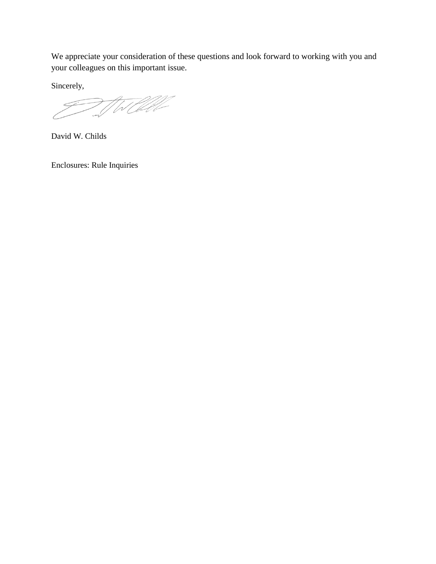We appreciate your consideration of these questions and look forward to working with you and your colleagues on this important issue.

Sincerely,

WORK

David W. Childs

Enclosures: Rule Inquiries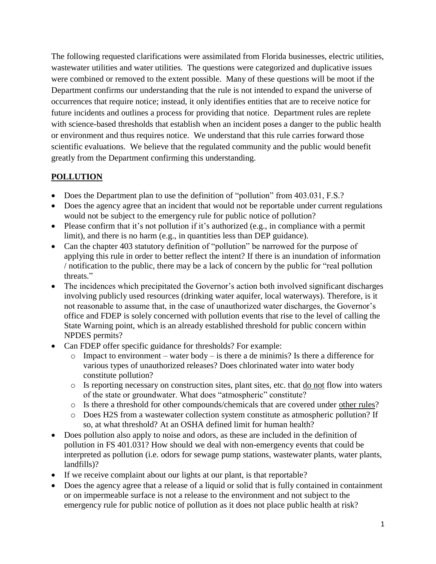The following requested clarifications were assimilated from Florida businesses, electric utilities, wastewater utilities and water utilities. The questions were categorized and duplicative issues were combined or removed to the extent possible. Many of these questions will be moot if the Department confirms our understanding that the rule is not intended to expand the universe of occurrences that require notice; instead, it only identifies entities that are to receive notice for future incidents and outlines a process for providing that notice. Department rules are replete with science-based thresholds that establish when an incident poses a danger to the public health or environment and thus requires notice. We understand that this rule carries forward those scientific evaluations. We believe that the regulated community and the public would benefit greatly from the Department confirming this understanding.

## **POLLUTION**

- Does the Department plan to use the definition of "pollution" from 403.031, F.S.?
- Does the agency agree that an incident that would not be reportable under current regulations would not be subject to the emergency rule for public notice of pollution?
- Please confirm that it's not pollution if it's authorized (e.g., in compliance with a permit limit), and there is no harm (e.g., in quantities less than DEP guidance).
- Can the chapter 403 statutory definition of "pollution" be narrowed for the purpose of applying this rule in order to better reflect the intent? If there is an inundation of information / notification to the public, there may be a lack of concern by the public for "real pollution threats."
- The incidences which precipitated the Governor's action both involved significant discharges involving publicly used resources (drinking water aquifer, local waterways). Therefore, is it not reasonable to assume that, in the case of unauthorized water discharges, the Governor's office and FDEP is solely concerned with pollution events that rise to the level of calling the State Warning point, which is an already established threshold for public concern within NPDES permits?
- Can FDEP offer specific guidance for thresholds? For example:
	- $\circ$  Impact to environment water body is there a de minimis? Is there a difference for various types of unauthorized releases? Does chlorinated water into water body constitute pollution?
	- o Is reporting necessary on construction sites, plant sites, etc. that do not flow into waters of the state or groundwater. What does "atmospheric" constitute?
	- o Is there a threshold for other compounds/chemicals that are covered under other rules?
	- o Does H2S from a wastewater collection system constitute as atmospheric pollution? If so, at what threshold? At an OSHA defined limit for human health?
- Does pollution also apply to noise and odors, as these are included in the definition of pollution in FS 401.031? How should we deal with non-emergency events that could be interpreted as pollution (i.e. odors for sewage pump stations, wastewater plants, water plants, landfills)?
- If we receive complaint about our lights at our plant, is that reportable?
- Does the agency agree that a release of a liquid or solid that is fully contained in containment or on impermeable surface is not a release to the environment and not subject to the emergency rule for public notice of pollution as it does not place public health at risk?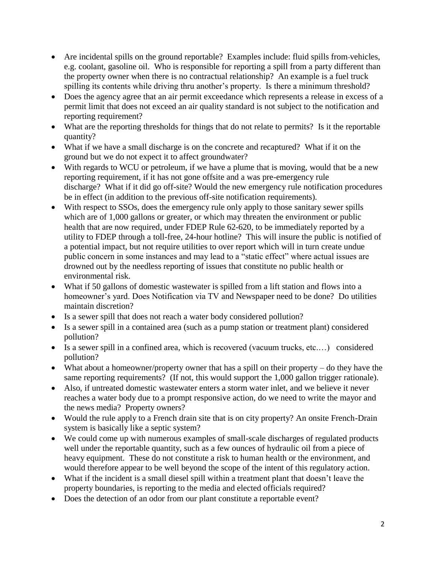- Are incidental spills on the ground reportable? Examples include: fluid spills from-vehicles, e.g. coolant, gasoline oil. Who is responsible for reporting a spill from a party different than the property owner when there is no contractual relationship? An example is a fuel truck spilling its contents while driving thru another's property. Is there a minimum threshold?
- Does the agency agree that an air permit exceedance which represents a release in excess of a permit limit that does not exceed an air quality standard is not subject to the notification and reporting requirement?
- What are the reporting thresholds for things that do not relate to permits? Is it the reportable quantity?
- What if we have a small discharge is on the concrete and recaptured? What if it on the ground but we do not expect it to affect groundwater?
- With regards to WCU or petroleum, if we have a plume that is moving, would that be a new reporting requirement, if it has not gone offsite and a was pre-emergency rule discharge? What if it did go off-site? Would the new emergency rule notification procedures be in effect (in addition to the previous off-site notification requirements).
- With respect to SSOs, does the emergency rule only apply to those sanitary sewer spills which are of 1,000 gallons or greater, or which may threaten the environment or public health that are now required, under FDEP Rule 62-620, to be immediately reported by a utility to FDEP through a toll-free, 24-hour hotline? This will insure the public is notified of a potential impact, but not require utilities to over report which will in turn create undue public concern in some instances and may lead to a "static effect" where actual issues are drowned out by the needless reporting of issues that constitute no public health or environmental risk.
- What if 50 gallons of domestic wastewater is spilled from a lift station and flows into a homeowner's yard. Does Notification via TV and Newspaper need to be done? Do utilities maintain discretion?
- Is a sewer spill that does not reach a water body considered pollution?
- Is a sewer spill in a contained area (such as a pump station or treatment plant) considered pollution?
- Is a sewer spill in a confined area, which is recovered (vacuum trucks, etc.…) considered pollution?
- What about a homeowner/property owner that has a spill on their property do they have the same reporting requirements? (If not, this would support the 1,000 gallon trigger rationale).
- Also, if untreated domestic wastewater enters a storm water inlet, and we believe it never reaches a water body due to a prompt responsive action, do we need to write the mayor and the news media? Property owners?
- Would the rule apply to a French drain site that is on city property? An onsite French-Drain system is basically like a septic system?
- We could come up with numerous examples of small-scale discharges of regulated products well under the reportable quantity, such as a few ounces of hydraulic oil from a piece of heavy equipment. These do not constitute a risk to human health or the environment, and would therefore appear to be well beyond the scope of the intent of this regulatory action.
- What if the incident is a small diesel spill within a treatment plant that doesn't leave the property boundaries, is reporting to the media and elected officials required?
- Does the detection of an odor from our plant constitute a reportable event?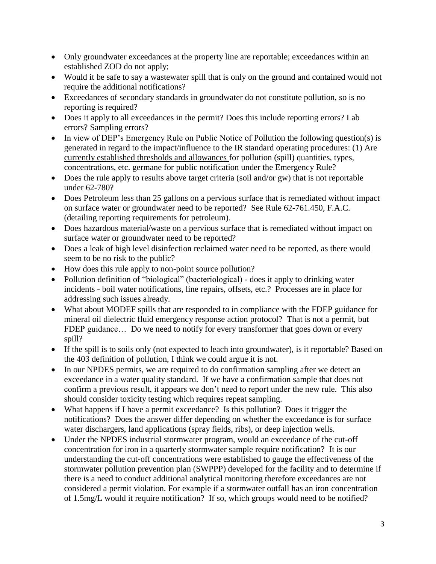- Only groundwater exceedances at the property line are reportable; exceedances within an established ZOD do not apply;
- Would it be safe to say a wastewater spill that is only on the ground and contained would not require the additional notifications?
- Exceedances of secondary standards in groundwater do not constitute pollution, so is no reporting is required?
- Does it apply to all exceedances in the permit? Does this include reporting errors? Lab errors? Sampling errors?
- In view of DEP's Emergency Rule on Public Notice of Pollution the following question(s) is generated in regard to the impact/influence to the IR standard operating procedures: (1) Are currently established thresholds and allowances for pollution (spill) quantities, types, concentrations, etc. germane for public notification under the Emergency Rule?
- Does the rule apply to results above target criteria (soil and/or gw) that is not reportable under 62-780?
- Does Petroleum less than 25 gallons on a pervious surface that is remediated without impact on surface water or groundwater need to be reported? See Rule 62-761.450, F.A.C. (detailing reporting requirements for petroleum).
- Does hazardous material/waste on a pervious surface that is remediated without impact on surface water or groundwater need to be reported?
- Does a leak of high level disinfection reclaimed water need to be reported, as there would seem to be no risk to the public?
- How does this rule apply to non-point source pollution?
- Pollution definition of "biological" (bacteriological) does it apply to drinking water incidents - boil water notifications, line repairs, offsets, etc.? Processes are in place for addressing such issues already.
- What about MODEF spills that are responded to in compliance with the FDEP guidance for mineral oil dielectric fluid emergency response action protocol? That is not a permit, but FDEP guidance... Do we need to notify for every transformer that goes down or every spill?
- If the spill is to soils only (not expected to leach into groundwater), is it reportable? Based on the 403 definition of pollution, I think we could argue it is not.
- In our NPDES permits, we are required to do confirmation sampling after we detect an exceedance in a water quality standard. If we have a confirmation sample that does not confirm a previous result, it appears we don't need to report under the new rule. This also should consider toxicity testing which requires repeat sampling.
- What happens if I have a permit exceedance? Is this pollution? Does it trigger the notifications? Does the answer differ depending on whether the exceedance is for surface water dischargers, land applications (spray fields, ribs), or deep injection wells.
- Under the NPDES industrial stormwater program, would an exceedance of the cut-off concentration for iron in a quarterly stormwater sample require notification? It is our understanding the cut-off concentrations were established to gauge the effectiveness of the stormwater pollution prevention plan (SWPPP) developed for the facility and to determine if there is a need to conduct additional analytical monitoring therefore exceedances are not considered a permit violation. For example if a stormwater outfall has an iron concentration of 1.5mg/L would it require notification? If so, which groups would need to be notified?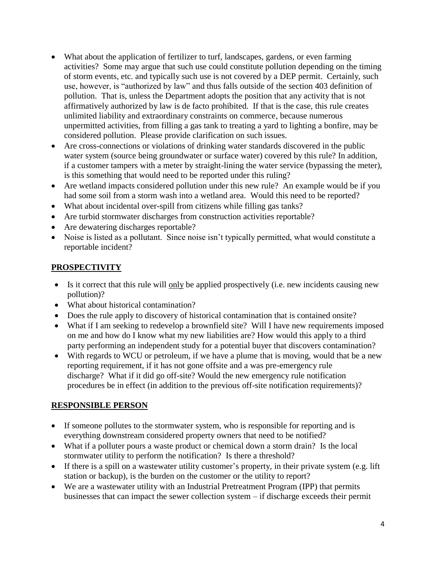- What about the application of fertilizer to turf, landscapes, gardens, or even farming activities? Some may argue that such use could constitute pollution depending on the timing of storm events, etc. and typically such use is not covered by a DEP permit. Certainly, such use, however, is "authorized by law" and thus falls outside of the section 403 definition of pollution. That is, unless the Department adopts the position that any activity that is not affirmatively authorized by law is de facto prohibited. If that is the case, this rule creates unlimited liability and extraordinary constraints on commerce, because numerous unpermitted activities, from filling a gas tank to treating a yard to lighting a bonfire, may be considered pollution. Please provide clarification on such issues.
- Are cross-connections or violations of drinking water standards discovered in the public water system (source being groundwater or surface water) covered by this rule? In addition, if a customer tampers with a meter by straight-lining the water service (bypassing the meter), is this something that would need to be reported under this ruling?
- Are wetland impacts considered pollution under this new rule? An example would be if you had some soil from a storm wash into a wetland area. Would this need to be reported?
- What about incidental over-spill from citizens while filling gas tanks?
- Are turbid stormwater discharges from construction activities reportable?
- Are dewatering discharges reportable?
- Noise is listed as a pollutant. Since noise isn't typically permitted, what would constitute a reportable incident?

#### **PROSPECTIVITY**

- Is it correct that this rule will only be applied prospectively (i.e. new incidents causing new pollution)?
- What about historical contamination?
- Does the rule apply to discovery of historical contamination that is contained onsite?
- What if I am seeking to redevelop a brownfield site? Will I have new requirements imposed on me and how do I know what my new liabilities are? How would this apply to a third party performing an independent study for a potential buyer that discovers contamination?
- With regards to WCU or petroleum, if we have a plume that is moving, would that be a new reporting requirement, if it has not gone offsite and a was pre-emergency rule discharge? What if it did go off-site? Would the new emergency rule notification procedures be in effect (in addition to the previous off-site notification requirements)?

#### **RESPONSIBLE PERSON**

- If someone pollutes to the stormwater system, who is responsible for reporting and is everything downstream considered property owners that need to be notified?
- What if a polluter pours a waste product or chemical down a storm drain? Is the local stormwater utility to perform the notification? Is there a threshold?
- If there is a spill on a wastewater utility customer's property, in their private system (e.g. lift station or backup), is the burden on the customer or the utility to report?
- We are a wastewater utility with an Industrial Pretreatment Program (IPP) that permits businesses that can impact the sewer collection system – if discharge exceeds their permit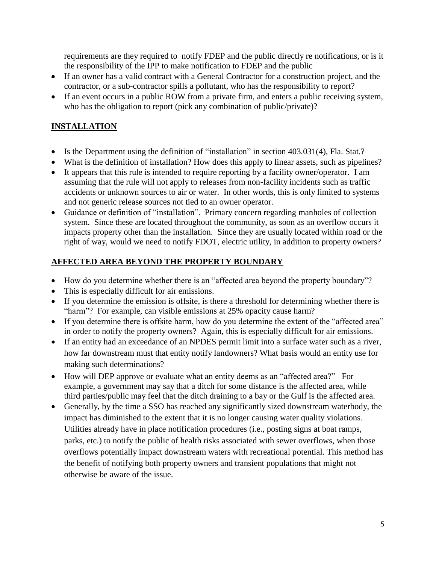requirements are they required to notify FDEP and the public directly re notifications, or is it the responsibility of the IPP to make notification to FDEP and the public

- If an owner has a valid contract with a General Contractor for a construction project, and the contractor, or a sub-contractor spills a pollutant, who has the responsibility to report?
- If an event occurs in a public ROW from a private firm, and enters a public receiving system, who has the obligation to report (pick any combination of public/private)?

## **INSTALLATION**

- Is the Department using the definition of "installation" in section 403.031(4), Fla. Stat.?
- What is the definition of installation? How does this apply to linear assets, such as pipelines?
- It appears that this rule is intended to require reporting by a facility owner/operator. I am assuming that the rule will not apply to releases from non-facility incidents such as traffic accidents or unknown sources to air or water. In other words, this is only limited to systems and not generic release sources not tied to an owner operator.
- Guidance or definition of "installation". Primary concern regarding manholes of collection system. Since these are located throughout the community, as soon as an overflow occurs it impacts property other than the installation. Since they are usually located within road or the right of way, would we need to notify FDOT, electric utility, in addition to property owners?

## **AFFECTED AREA BEYOND THE PROPERTY BOUNDARY**

- How do you determine whether there is an "affected area beyond the property boundary"?
- This is especially difficult for air emissions.
- If you determine the emission is offsite, is there a threshold for determining whether there is "harm"? For example, can visible emissions at 25% opacity cause harm?
- If you determine there is offsite harm, how do you determine the extent of the "affected area" in order to notify the property owners? Again, this is especially difficult for air emissions.
- If an entity had an exceedance of an NPDES permit limit into a surface water such as a river, how far downstream must that entity notify landowners? What basis would an entity use for making such determinations?
- How will DEP approve or evaluate what an entity deems as an "affected area?" For example, a government may say that a ditch for some distance is the affected area, while third parties/public may feel that the ditch draining to a bay or the Gulf is the affected area.
- Generally, by the time a SSO has reached any significantly sized downstream waterbody, the impact has diminished to the extent that it is no longer causing water quality violations. Utilities already have in place notification procedures (i.e., posting signs at boat ramps, parks, etc.) to notify the public of health risks associated with sewer overflows, when those overflows potentially impact downstream waters with recreational potential. This method has the benefit of notifying both property owners and transient populations that might not otherwise be aware of the issue.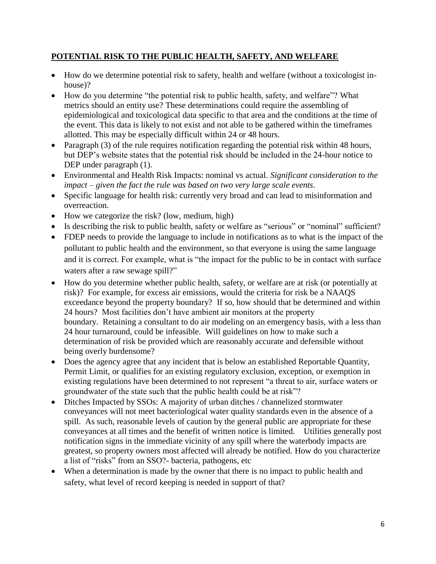#### **POTENTIAL RISK TO THE PUBLIC HEALTH, SAFETY, AND WELFARE**

- How do we determine potential risk to safety, health and welfare (without a toxicologist inhouse)?
- How do you determine "the potential risk to public health, safety, and welfare"? What metrics should an entity use? These determinations could require the assembling of epidemiological and toxicological data specific to that area and the conditions at the time of the event. This data is likely to not exist and not able to be gathered within the timeframes allotted. This may be especially difficult within 24 or 48 hours.
- Paragraph (3) of the rule requires notification regarding the potential risk within 48 hours, but DEP's website states that the potential risk should be included in the 24-hour notice to DEP under paragraph (1).
- Environmental and Health Risk Impacts: nominal vs actual. *Significant consideration to the impact – given the fact the rule was based on two very large scale events*.
- Specific language for health risk: currently very broad and can lead to misinformation and overreaction.
- How we categorize the risk? (low, medium, high)
- Is describing the risk to public health, safety or welfare as "serious" or "nominal" sufficient?
- FDEP needs to provide the language to include in notifications as to what is the impact of the pollutant to public health and the environment, so that everyone is using the same language and it is correct. For example, what is "the impact for the public to be in contact with surface waters after a raw sewage spill?"
- How do you determine whether public health, safety, or welfare are at risk (or potentially at risk)? For example, for excess air emissions, would the criteria for risk be a NAAQS exceedance beyond the property boundary? If so, how should that be determined and within 24 hours? Most facilities don't have ambient air monitors at the property boundary. Retaining a consultant to do air modeling on an emergency basis, with a less than 24 hour turnaround, could be infeasible. Will guidelines on how to make such a determination of risk be provided which are reasonably accurate and defensible without being overly burdensome?
- Does the agency agree that any incident that is below an established Reportable Quantity, Permit Limit, or qualifies for an existing regulatory exclusion, exception, or exemption in existing regulations have been determined to not represent "a threat to air, surface waters or groundwater of the state such that the public health could be at risk"?
- Ditches Impacted by SSOs: A majority of urban ditches / channelized stormwater conveyances will not meet bacteriological water quality standards even in the absence of a spill. As such, reasonable levels of caution by the general public are appropriate for these conveyances at all times and the benefit of written notice is limited. Utilities generally post notification signs in the immediate vicinity of any spill where the waterbody impacts are greatest, so property owners most affected will already be notified. How do you characterize a list of "risks" from an SSO?- bacteria, pathogens, etc
- When a determination is made by the owner that there is no impact to public health and safety, what level of record keeping is needed in support of that?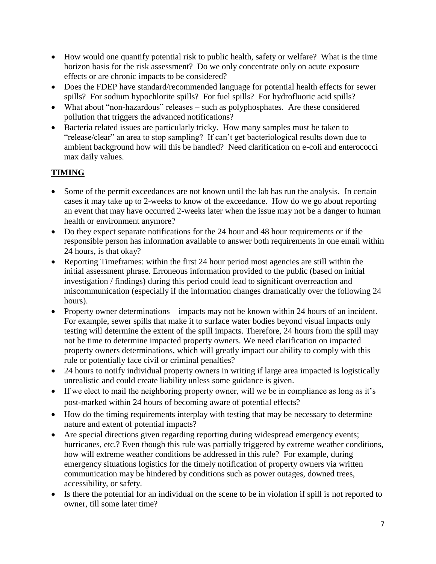- How would one quantify potential risk to public health, safety or welfare? What is the time horizon basis for the risk assessment? Do we only concentrate only on acute exposure effects or are chronic impacts to be considered?
- Does the FDEP have standard/recommended language for potential health effects for sewer spills? For sodium hypochlorite spills? For fuel spills? For hydrofluoric acid spills?
- What about "non-hazardous" releases such as polyphosphates. Are these considered pollution that triggers the advanced notifications?
- Bacteria related issues are particularly tricky. How many samples must be taken to "release/clear" an area to stop sampling? If can't get bacteriological results down due to ambient background how will this be handled? Need clarification on e-coli and enterococci max daily values.

## **TIMING**

- Some of the permit exceedances are not known until the lab has run the analysis. In certain cases it may take up to 2-weeks to know of the exceedance. How do we go about reporting an event that may have occurred 2-weeks later when the issue may not be a danger to human health or environment anymore?
- Do they expect separate notifications for the 24 hour and 48 hour requirements or if the responsible person has information available to answer both requirements in one email within 24 hours, is that okay?
- Reporting Timeframes: within the first 24 hour period most agencies are still within the initial assessment phrase. Erroneous information provided to the public (based on initial investigation / findings) during this period could lead to significant overreaction and miscommunication (especially if the information changes dramatically over the following 24 hours).
- Property owner determinations impacts may not be known within 24 hours of an incident. For example, sewer spills that make it to surface water bodies beyond visual impacts only testing will determine the extent of the spill impacts. Therefore, 24 hours from the spill may not be time to determine impacted property owners. We need clarification on impacted property owners determinations, which will greatly impact our ability to comply with this rule or potentially face civil or criminal penalties?
- 24 hours to notify individual property owners in writing if large area impacted is logistically unrealistic and could create liability unless some guidance is given.
- If we elect to mail the neighboring property owner, will we be in compliance as long as it's post-marked within 24 hours of becoming aware of potential effects?
- How do the timing requirements interplay with testing that may be necessary to determine nature and extent of potential impacts?
- Are special directions given regarding reporting during widespread emergency events; hurricanes, etc.? Even though this rule was partially triggered by extreme weather conditions, how will extreme weather conditions be addressed in this rule? For example, during emergency situations logistics for the timely notification of property owners via written communication may be hindered by conditions such as power outages, downed trees, accessibility, or safety.
- Is there the potential for an individual on the scene to be in violation if spill is not reported to owner, till some later time?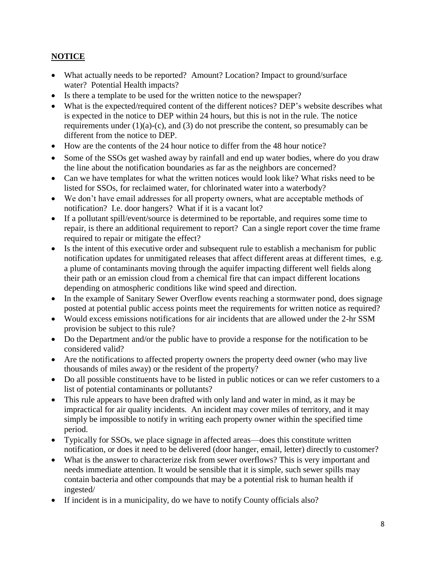## **NOTICE**

- What actually needs to be reported? Amount? Location? Impact to ground/surface water? Potential Health impacts?
- Is there a template to be used for the written notice to the newspaper?
- What is the expected/required content of the different notices? DEP's website describes what is expected in the notice to DEP within 24 hours, but this is not in the rule. The notice requirements under  $(1)(a)-(c)$ , and  $(3)$  do not prescribe the content, so presumably can be different from the notice to DEP.
- How are the contents of the 24 hour notice to differ from the 48 hour notice?
- Some of the SSOs get washed away by rainfall and end up water bodies, where do you draw the line about the notification boundaries as far as the neighbors are concerned?
- Can we have templates for what the written notices would look like? What risks need to be listed for SSOs, for reclaimed water, for chlorinated water into a waterbody?
- We don't have email addresses for all property owners, what are acceptable methods of notification? I.e. door hangers? What if it is a vacant lot?
- If a pollutant spill/event/source is determined to be reportable, and requires some time to repair, is there an additional requirement to report? Can a single report cover the time frame required to repair or mitigate the effect?
- Is the intent of this executive order and subsequent rule to establish a mechanism for public notification updates for unmitigated releases that affect different areas at different times, e.g. a plume of contaminants moving through the aquifer impacting different well fields along their path or an emission cloud from a chemical fire that can impact different locations depending on atmospheric conditions like wind speed and direction.
- In the example of Sanitary Sewer Overflow events reaching a stormwater pond, does signage posted at potential public access points meet the requirements for written notice as required?
- Would excess emissions notifications for air incidents that are allowed under the 2-hr SSM provision be subject to this rule?
- Do the Department and/or the public have to provide a response for the notification to be considered valid?
- Are the notifications to affected property owners the property deed owner (who may live thousands of miles away) or the resident of the property?
- Do all possible constituents have to be listed in public notices or can we refer customers to a list of potential contaminants or pollutants?
- This rule appears to have been drafted with only land and water in mind, as it may be impractical for air quality incidents. An incident may cover miles of territory, and it may simply be impossible to notify in writing each property owner within the specified time period.
- Typically for SSOs, we place signage in affected areas—does this constitute written notification, or does it need to be delivered (door hanger, email, letter) directly to customer?
- What is the answer to characterize risk from sewer overflows? This is very important and needs immediate attention. It would be sensible that it is simple, such sewer spills may contain bacteria and other compounds that may be a potential risk to human health if ingested/
- If incident is in a municipality, do we have to notify County officials also?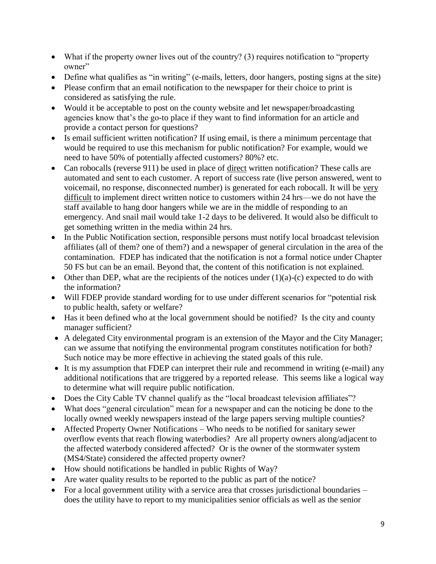- What if the property owner lives out of the country? (3) requires notification to "property owner"
- Define what qualifies as "in writing" (e-mails, letters, door hangers, posting signs at the site)
- Please confirm that an email notification to the newspaper for their choice to print is considered as satisfying the rule.
- Would it be acceptable to post on the county website and let newspaper/broadcasting agencies know that's the go-to place if they want to find information for an article and provide a contact person for questions?
- Is email sufficient written notification? If using email, is there a minimum percentage that would be required to use this mechanism for public notification? For example, would we need to have 50% of potentially affected customers? 80%? etc.
- Can robocalls (reverse 911) be used in place of direct written notification? These calls are automated and sent to each customer. A report of success rate (live person answered, went to voicemail, no response, disconnected number) is generated for each robocall. It will be very difficult to implement direct written notice to customers within 24 hrs—we do not have the staff available to hang door hangers while we are in the middle of responding to an emergency. And snail mail would take 1-2 days to be delivered. It would also be difficult to get something written in the media within 24 hrs.
- In the Public Notification section, responsible persons must notify local broadcast television affiliates (all of them? one of them?) and a newspaper of general circulation in the area of the contamination. FDEP has indicated that the notification is not a formal notice under Chapter 50 FS but can be an email. Beyond that, the content of this notification is not explained.
- Other than DEP, what are the recipients of the notices under  $(1)(a)-(c)$  expected to do with the information?
- Will FDEP provide standard wording for to use under different scenarios for "potential risk to public health, safety or welfare?
- Has it been defined who at the local government should be notified? Is the city and county manager sufficient?
- A delegated City environmental program is an extension of the Mayor and the City Manager; can we assume that notifying the environmental program constitutes notification for both? Such notice may be more effective in achieving the stated goals of this rule.
- It is my assumption that FDEP can interpret their rule and recommend in writing (e-mail) any additional notifications that are triggered by a reported release. This seems like a logical way to determine what will require public notification.
- Does the City Cable TV channel qualify as the "local broadcast television affiliates"?
- What does "general circulation" mean for a newspaper and can the noticing be done to the locally owned weekly newspapers instead of the large papers serving multiple counties?
- Affected Property Owner Notifications Who needs to be notified for sanitary sewer overflow events that reach flowing waterbodies? Are all property owners along/adjacent to the affected waterbody considered affected? Or is the owner of the stormwater system (MS4/State) considered the affected property owner?
- How should notifications be handled in public Rights of Way?
- Are water quality results to be reported to the public as part of the notice?
- For a local government utility with a service area that crosses jurisdictional boundaries does the utility have to report to my municipalities senior officials as well as the senior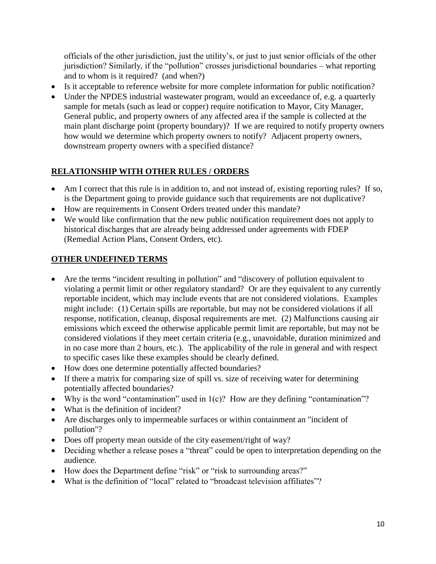officials of the other jurisdiction, just the utility's, or just to just senior officials of the other jurisdiction? Similarly, if the "pollution" crosses jurisdictional boundaries – what reporting and to whom is it required? (and when?)

- Is it acceptable to reference website for more complete information for public notification?
- Under the NPDES industrial wastewater program, would an exceedance of, e.g. a quarterly sample for metals (such as lead or copper) require notification to Mayor, City Manager, General public, and property owners of any affected area if the sample is collected at the main plant discharge point (property boundary)? If we are required to notify property owners how would we determine which property owners to notify? Adjacent property owners, downstream property owners with a specified distance?

## **RELATIONSHIP WITH OTHER RULES / ORDERS**

- Am I correct that this rule is in addition to, and not instead of, existing reporting rules? If so, is the Department going to provide guidance such that requirements are not duplicative?
- How are requirements in Consent Orders treated under this mandate?
- We would like confirmation that the new public notification requirement does not apply to historical discharges that are already being addressed under agreements with FDEP (Remedial Action Plans, Consent Orders, etc).

#### **OTHER UNDEFINED TERMS**

- Are the terms "incident resulting in pollution" and "discovery of pollution equivalent to violating a permit limit or other regulatory standard? Or are they equivalent to any currently reportable incident, which may include events that are not considered violations. Examples might include: (1) Certain spills are reportable, but may not be considered violations if all response, notification, cleanup, disposal requirements are met. (2) Malfunctions causing air emissions which exceed the otherwise applicable permit limit are reportable, but may not be considered violations if they meet certain criteria (e.g., unavoidable, duration minimized and in no case more than 2 hours, etc.). The applicability of the rule in general and with respect to specific cases like these examples should be clearly defined.
- How does one determine potentially affected boundaries?
- If there a matrix for comparing size of spill vs. size of receiving water for determining potentially affected boundaries?
- Why is the word "contamination" used in  $1(c)$ ? How are they defining "contamination"?
- What is the definition of incident?
- Are discharges only to impermeable surfaces or within containment an "incident of pollution"?
- Does off property mean outside of the city easement/right of way?
- Deciding whether a release poses a "threat" could be open to interpretation depending on the audience.
- How does the Department define "risk" or "risk to surrounding areas?"
- What is the definition of "local" related to "broadcast television affiliates"?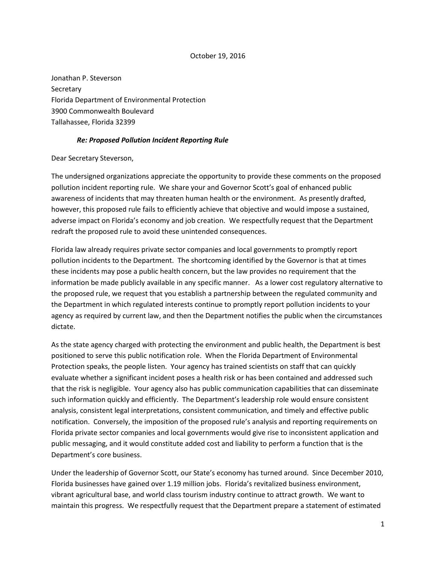#### October 19, 2016

Jonathan P. Steverson **Secretary** Florida Department of Environmental Protection 3900 Commonwealth Boulevard Tallahassee, Florida 32399

#### *Re: Proposed Pollution Incident Reporting Rule*

Dear Secretary Steverson,

The undersigned organizations appreciate the opportunity to provide these comments on the proposed pollution incident reporting rule. We share your and Governor Scott's goal of enhanced public awareness of incidents that may threaten human health or the environment. As presently drafted, however, this proposed rule fails to efficiently achieve that objective and would impose a sustained, adverse impact on Florida's economy and job creation. We respectfully request that the Department redraft the proposed rule to avoid these unintended consequences.

Florida law already requires private sector companies and local governments to promptly report pollution incidents to the Department. The shortcoming identified by the Governor is that at times these incidents may pose a public health concern, but the law provides no requirement that the information be made publicly available in any specific manner. As a lower cost regulatory alternative to the proposed rule, we request that you establish a partnership between the regulated community and the Department in which regulated interests continue to promptly report pollution incidents to your agency as required by current law, and then the Department notifies the public when the circumstances dictate.

As the state agency charged with protecting the environment and public health, the Department is best positioned to serve this public notification role. When the Florida Department of Environmental Protection speaks, the people listen. Your agency has trained scientists on staff that can quickly evaluate whether a significant incident poses a health risk or has been contained and addressed such that the risk is negligible. Your agency also has public communication capabilities that can disseminate such information quickly and efficiently. The Department's leadership role would ensure consistent analysis, consistent legal interpretations, consistent communication, and timely and effective public notification. Conversely, the imposition of the proposed rule's analysis and reporting requirements on Florida private sector companies and local governments would give rise to inconsistent application and public messaging, and it would constitute added cost and liability to perform a function that is the Department's core business.

Under the leadership of Governor Scott, our State's economy has turned around. Since December 2010, Florida businesses have gained over 1.19 million jobs. Florida's revitalized business environment, vibrant agricultural base, and world class tourism industry continue to attract growth. We want to maintain this progress. We respectfully request that the Department prepare a statement of estimated